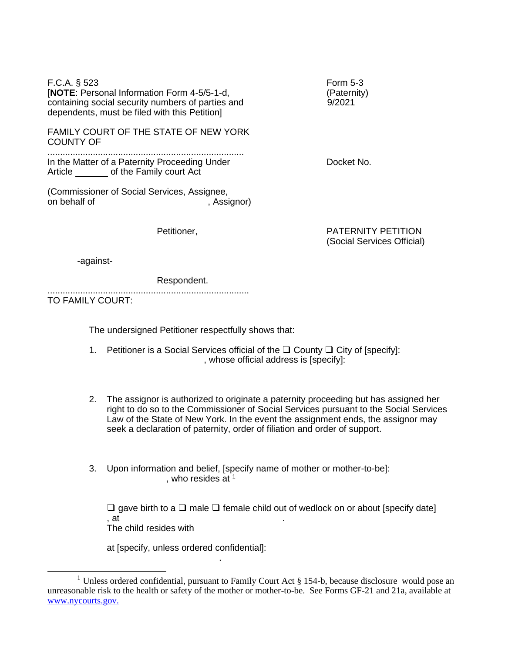| $F.C.A.$ § 523<br>[NOTE: Personal Information Form 4-5/5-1-d,<br>containing social security numbers of parties and<br>dependents, must be filed with this Petition] | <b>Form 5-3</b><br>(Paternity)<br>9/2021                |
|---------------------------------------------------------------------------------------------------------------------------------------------------------------------|---------------------------------------------------------|
| FAMILY COURT OF THE STATE OF NEW YORK<br><b>COUNTY OF</b>                                                                                                           |                                                         |
| In the Matter of a Paternity Proceeding Under<br>Article _________ of the Family court Act                                                                          | Docket No.                                              |
| (Commissioner of Social Services, Assignee,<br>on behalf of<br>, Assignor)                                                                                          |                                                         |
| Petitioner,                                                                                                                                                         | <b>PATERNITY PETITION</b><br>(Social Services Official) |
| -against-                                                                                                                                                           |                                                         |
| Respondent.                                                                                                                                                         |                                                         |
| TO FAMILY COURT:                                                                                                                                                    |                                                         |
| The undersigned Petitioner respectfully shows that:                                                                                                                 |                                                         |

- 1. Petitioner is a Social Services official of the ❑ County ❑ City of [specify]: , whose official address is [specify]:
- 2. The assignor is authorized to originate a paternity proceeding but has assigned her right to do so to the Commissioner of Social Services pursuant to the Social Services Law of the State of New York. In the event the assignment ends, the assignor may seek a declaration of paternity, order of filiation and order of support.
- 3. Upon information and belief, [specify name of mother or mother-to-be]: , who resides at  $1$

❑ gave birth to a ❑ male ❑ female child out of wedlock on or about [specify date] , at  $\qquad \qquad \ldots$ The child resides with

at [specify, unless ordered confidential]:

.

<sup>&</sup>lt;sup>1</sup> Unless ordered confidential, pursuant to Family Court Act  $\S 154$ -b, because disclosure would pose an unreasonable risk to the health or safety of the mother or mother-to-be. See Forms GF-21 and 21a, available at [www.nycourts.gov.](http://www.nycourts.gov/)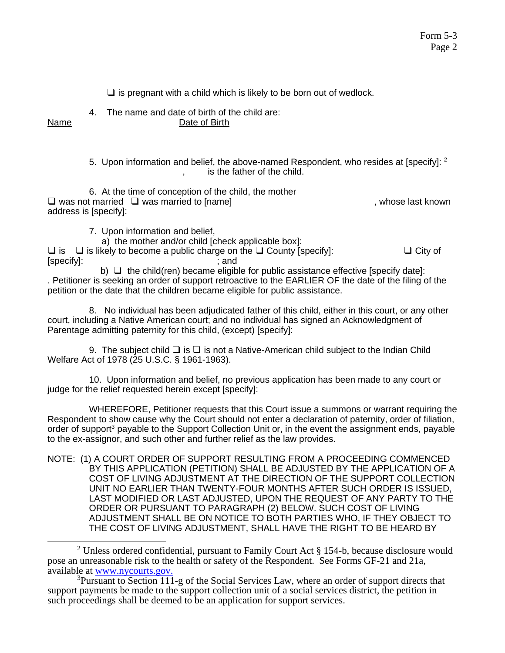$\square$  is pregnant with a child which is likely to be born out of wedlock.

4. The name and date of birth of the child are:

Name Date of Birth

5. Upon information and belief, the above-named Respondent, who resides at [specify]:  $^2$ , is the father of the child.

6. At the time of conception of the child, the mother ❑ was not married ❑ was married to [name] , whose last known address is [specify]:

7. Upon information and belief,

a) the mother and/or child [check applicable box]:

 $\Box$  is  $\Box$  is likely to become a public charge on the  $\Box$  County [specify]:  $\Box$  City of [specify]: ; and

b)  $\Box$  the child(ren) became eligible for public assistance effective [specify date]: . Petitioner is seeking an order of support retroactive to the EARLIER OF the date of the filing of the petition or the date that the children became eligible for public assistance.

8. No individual has been adjudicated father of this child, either in this court, or any other court, including a Native American court; and no individual has signed an Acknowledgment of Parentage admitting paternity for this child, (except) [specify]:

9. The subiect child  $\Box$  is  $\Box$  is not a Native-American child subiect to the Indian Child Welfare Act of 1978 (25 U.S.C. § 1961-1963).

10. Upon information and belief, no previous application has been made to any court or judge for the relief requested herein except [specify]:

WHEREFORE, Petitioner requests that this Court issue a summons or warrant requiring the Respondent to show cause why the Court should not enter a declaration of paternity, order of filiation, order of support<sup>3</sup> payable to the Support Collection Unit or, in the event the assignment ends, payable to the ex-assignor, and such other and further relief as the law provides.

NOTE: (1) A COURT ORDER OF SUPPORT RESULTING FROM A PROCEEDING COMMENCED BY THIS APPLICATION (PETITION) SHALL BE ADJUSTED BY THE APPLICATION OF A COST OF LIVING ADJUSTMENT AT THE DIRECTION OF THE SUPPORT COLLECTION UNIT NO EARLIER THAN TWENTY-FOUR MONTHS AFTER SUCH ORDER IS ISSUED, LAST MODIFIED OR LAST ADJUSTED, UPON THE REQUEST OF ANY PARTY TO THE ORDER OR PURSUANT TO PARAGRAPH (2) BELOW. SUCH COST OF LIVING ADJUSTMENT SHALL BE ON NOTICE TO BOTH PARTIES WHO. IF THEY OBJECT TO THE COST OF LIVING ADJUSTMENT, SHALL HAVE THE RIGHT TO BE HEARD BY

<sup>&</sup>lt;sup>2</sup> Unless ordered confidential, pursuant to Family Court Act § 154-b, because disclosure would pose an unreasonable risk to the health or safety of the Respondent. See Forms GF-21 and 21a, available at [www.nycourts.gov.](http://www.nycourts.gov/)

 $3$ Pursuant to Section 111-g of the Social Services Law, where an order of support directs that support payments be made to the support collection unit of a social services district, the petition in such proceedings shall be deemed to be an application for support services.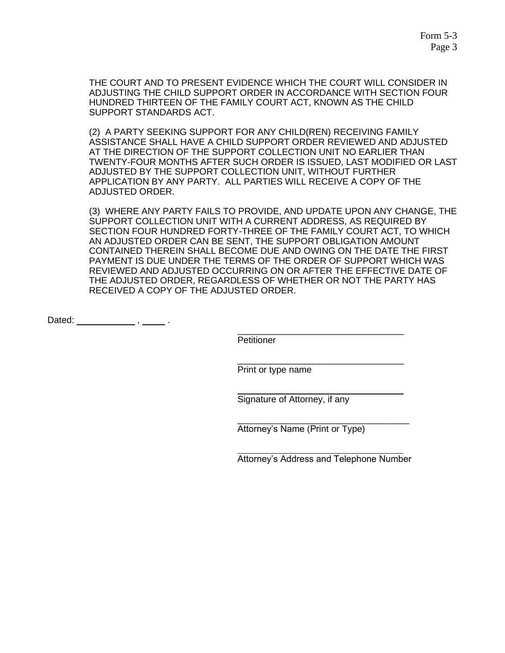THE COURT AND TO PRESENT EVIDENCE WHICH THE COURT WILL CONSIDER IN ADJUSTING THE CHILD SUPPORT ORDER IN ACCORDANCE WITH SECTION FOUR HUNDRED THIRTEEN OF THE FAMILY COURT ACT, KNOWN AS THE CHILD SUPPORT STANDARDS ACT.

(2) A PARTY SEEKING SUPPORT FOR ANY CHILD(REN) RECEIVING FAMILY ASSISTANCE SHALL HAVE A CHILD SUPPORT ORDER REVIEWED AND ADJUSTED AT THE DIRECTION OF THE SUPPORT COLLECTION UNIT NO EARLIER THAN TWENTY-FOUR MONTHS AFTER SUCH ORDER IS ISSUED, LAST MODIFIED OR LAST ADJUSTED BY THE SUPPORT COLLECTION UNIT, WITHOUT FURTHER APPLICATION BY ANY PARTY. ALL PARTIES WILL RECEIVE A COPY OF THE ADJUSTED ORDER.

(3) WHERE ANY PARTY FAILS TO PROVIDE, AND UPDATE UPON ANY CHANGE, THE SUPPORT COLLECTION UNIT WITH A CURRENT ADDRESS, AS REQUIRED BY SECTION FOUR HUNDRED FORTY-THREE OF THE FAMILY COURT ACT, TO WHICH AN ADJUSTED ORDER CAN BE SENT, THE SUPPORT OBLIGATION AMOUNT CONTAINED THEREIN SHALL BECOME DUE AND OWING ON THE DATE THE FIRST PAYMENT IS DUE UNDER THE TERMS OF THE ORDER OF SUPPORT WHICH WAS REVIEWED AND ADJUSTED OCCURRING ON OR AFTER THE EFFECTIVE DATE OF THE ADJUSTED ORDER, REGARDLESS OF WHETHER OR NOT THE PARTY HAS RECEIVED A COPY OF THE ADJUSTED ORDER.

Dated: \_\_\_\_\_\_\_\_\_\_\_\_\_\_, \_\_\_\_\_\_\_.

Petitioner

Print or type name

Signature of Attorney, if any

Attorney's Name (Print or Type)

Attorney's Address and Telephone Number

\_\_\_\_\_\_\_\_\_\_\_\_\_\_\_\_\_\_\_\_\_\_\_\_\_\_\_\_\_\_\_\_\_\_

\_\_\_\_\_\_\_\_\_\_\_\_\_\_\_\_\_\_\_\_\_\_\_\_\_\_\_\_\_\_\_\_\_

\_\_\_\_\_\_\_\_\_\_\_\_\_\_\_\_\_\_\_\_\_\_\_\_\_\_\_\_\_\_\_\_\_